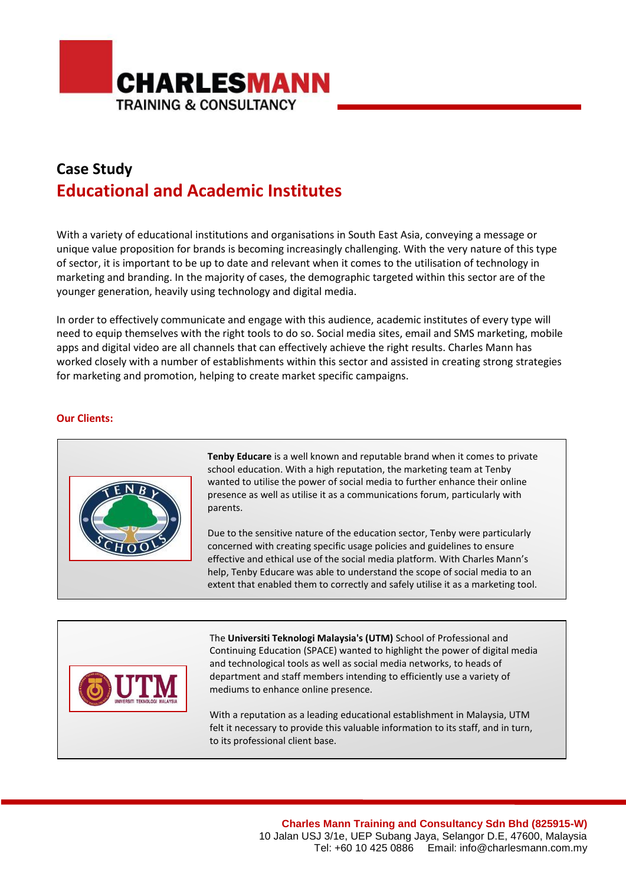

## **Case Study Educational and Academic Institutes**

With a variety of educational institutions and organisations in South East Asia, conveying a message or unique value proposition for brands is becoming increasingly challenging. With the very nature of this type of sector, it is important to be up to date and relevant when it comes to the utilisation of technology in marketing and branding. In the majority of cases, the demographic targeted within this sector are of the younger generation, heavily using technology and digital media.

In order to effectively communicate and engage with this audience, academic institutes of every type will need to equip themselves with the right tools to do so. Social media sites, email and SMS marketing, mobile apps and digital video are all channels that can effectively achieve the right results. Charles Mann has worked closely with a number of establishments within this sector and assisted in creating strong strategies for marketing and promotion, helping to create market specific campaigns.

## **Our Clients:**



**Tenby Educare** is a well known and reputable brand when it comes to private school education. With a high reputation, the marketing team at Tenby wanted to utilise the power of social media to further enhance their online presence as well as utilise it as a communications forum, particularly with parents.

Due to the sensitive nature of the education sector, Tenby were particularly concerned with creating specific usage policies and guidelines to ensure effective and ethical use of the social media platform. With Charles Mann's help, Tenby Educare was able to understand the scope of social media to an extent that enabled them to correctly and safely utilise it as a marketing tool.



The **Universiti Teknologi Malaysia's (UTM)** School of Professional and Continuing Education (SPACE) wanted to highlight the power of digital media and technological tools as well as social media networks, to heads of department and staff members intending to efficiently use a variety of mediums to enhance online presence.

With a reputation as a leading educational establishment in Malaysia, UTM felt it necessary to provide this valuable information to its staff, and in turn, to its professional client base.